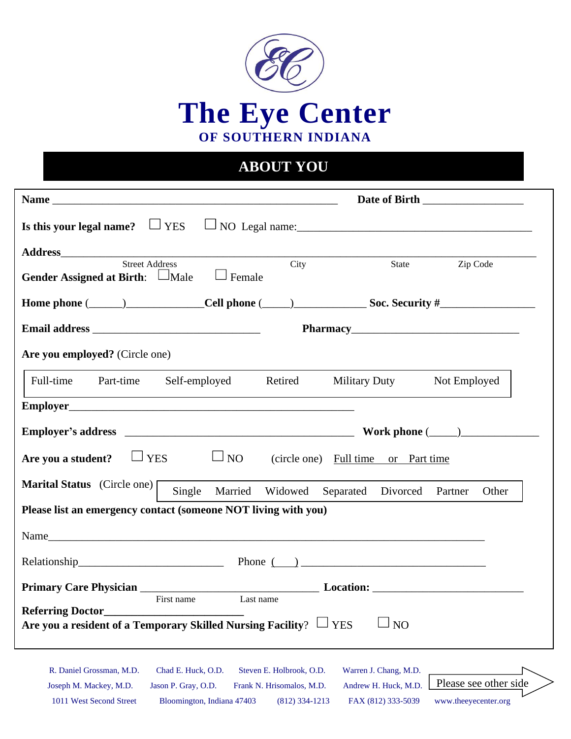

## **ABOUT YOU**

|                                                                                                                 |                                               |                                                   | Date of Birth                                 |
|-----------------------------------------------------------------------------------------------------------------|-----------------------------------------------|---------------------------------------------------|-----------------------------------------------|
| Is this your legal name? $\Box$ YES                                                                             |                                               |                                                   |                                               |
| Street Address                                                                                                  | City                                          | State                                             | Zip Code                                      |
| Gender Assigned at Birth: $\Box$ Male<br>$\Box$ Female                                                          |                                               |                                                   |                                               |
| Home phone $(\_\_)$ Cell phone $(\_\_)$ Soc. Security $\#$                                                      |                                               |                                                   |                                               |
|                                                                                                                 |                                               |                                                   |                                               |
| Are you employed? (Circle one)                                                                                  |                                               |                                                   |                                               |
| Full-time<br>Part-time Self-employed                                                                            | Retired                                       | <b>Military Duty</b>                              | Not Employed                                  |
|                                                                                                                 |                                               |                                                   |                                               |
|                                                                                                                 |                                               |                                                   |                                               |
| $\Box$ NO<br>$\Box$ YES<br>Are you a student?                                                                   |                                               | (circle one) Full time or Part time               |                                               |
| <b>Marital Status</b> (Circle one)                                                                              |                                               | Single Married Widowed Separated Divorced Partner | Other                                         |
| Please list an emergency contact (someone NOT living with you)                                                  |                                               |                                                   |                                               |
|                                                                                                                 |                                               |                                                   |                                               |
| Relationship Phone $\qquad$ Phone $\qquad$                                                                      |                                               |                                                   |                                               |
|                                                                                                                 |                                               |                                                   |                                               |
| First name<br><b>Referring Doctor</b><br>Are you a resident of a Temporary Skilled Nursing Facility? $\Box$ YES | Last name                                     | NO                                                |                                               |
| R. Daniel Grossman, M.D.<br>Chad E. Huck, O.D.                                                                  | Steven E. Holbrook, O.D.                      | Warren J. Chang, M.D.                             |                                               |
| Jason P. Gray, O.D.<br>Joseph M. Mackey, M.D.<br>1011 West Second Street<br>Bloomington, Indiana 47403          | Frank N. Hrisomalos, M.D.<br>$(812)$ 334-1213 | Andrew H. Huck, M.D.<br>FAX (812) 333-5039        | Please see other side<br>www.theeyecenter.org |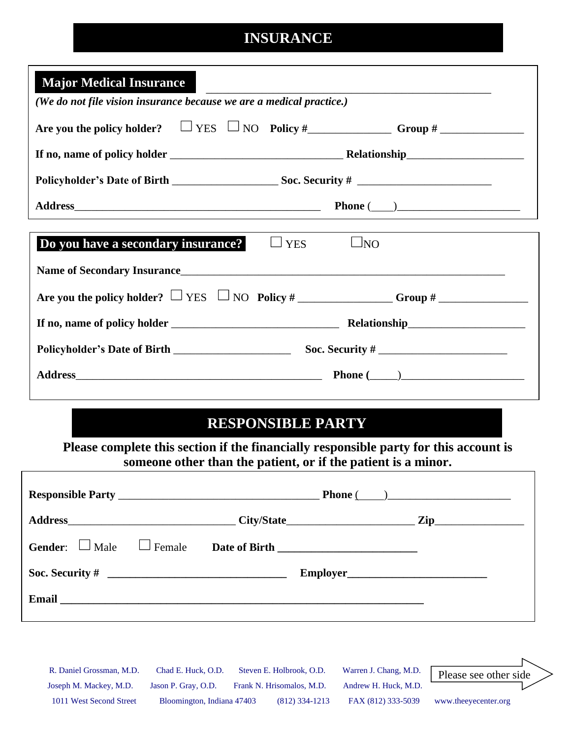#### **INSURANCE**

| <b>Major Medical Insurance</b><br>(We do not file vision insurance because we are a medical practice.) |                       |  |  |  |  |
|--------------------------------------------------------------------------------------------------------|-----------------------|--|--|--|--|
|                                                                                                        |                       |  |  |  |  |
|                                                                                                        |                       |  |  |  |  |
|                                                                                                        |                       |  |  |  |  |
|                                                                                                        | Phone $(\_\_)$        |  |  |  |  |
|                                                                                                        |                       |  |  |  |  |
| Do you have a secondary insurance?<br>$\Box$ YES                                                       | $\Box$ NO             |  |  |  |  |
|                                                                                                        |                       |  |  |  |  |
|                                                                                                        |                       |  |  |  |  |
|                                                                                                        |                       |  |  |  |  |
|                                                                                                        |                       |  |  |  |  |
|                                                                                                        | <b>Phone</b> $(\_\_)$ |  |  |  |  |
|                                                                                                        |                       |  |  |  |  |

#### **RESPONSIBLE PARTY**

**Please complete this section if the financially responsible party for this account is someone other than the patient, or if the patient is a minor.**

|                                                                                                                                                                                                                                      | Phone $(\_\_)$ |  |                                                        |  |
|--------------------------------------------------------------------------------------------------------------------------------------------------------------------------------------------------------------------------------------|----------------|--|--------------------------------------------------------|--|
|                                                                                                                                                                                                                                      |                |  |                                                        |  |
|                                                                                                                                                                                                                                      |                |  | Gender: $\Box$ Male $\Box$ Female Date of Birth $\Box$ |  |
|                                                                                                                                                                                                                                      |                |  |                                                        |  |
| Email <u>and the community of the community of the community of the community of the community of the community of the community of the community of the community of the community of the community of the community of the com</u> |                |  |                                                        |  |
|                                                                                                                                                                                                                                      |                |  |                                                        |  |

R. Daniel Grossman, M.D. Chad E. Huck, O.D. Steven E. Holbrook, O.D. Warren J. Chang, M.D. Joseph M. Mackey, M.D. Jason P. Gray, O.D. Frank N. Hrisomalos, M.D. Andrew H. Huck, M.D. 1011 West Second Street Bloomington, Indiana 47403 (812) 334-1213 FAX (812) 333-5039 www.theeyecenter.org Please see other side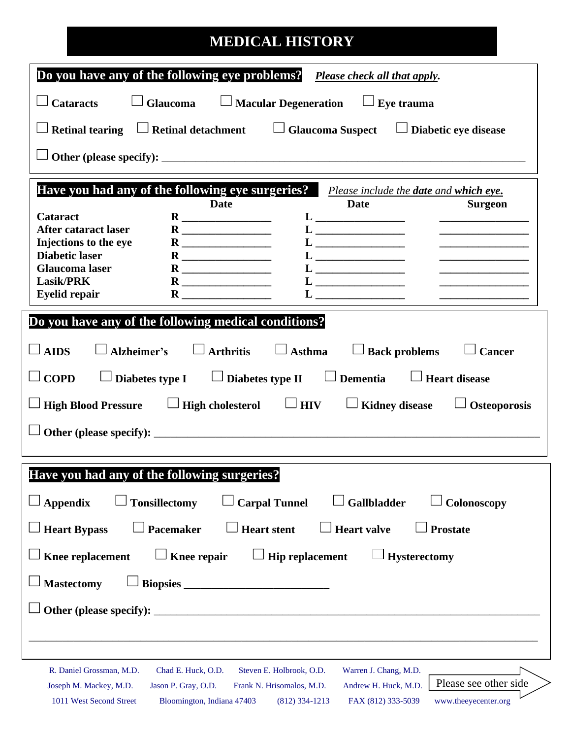## **MEDICAL HISTORY**

|                                                      | Do you have any of the following eye problems? Please check all that apply.                                                                                                                                                                                                                                                                                                                   |
|------------------------------------------------------|-----------------------------------------------------------------------------------------------------------------------------------------------------------------------------------------------------------------------------------------------------------------------------------------------------------------------------------------------------------------------------------------------|
| <b>Cataracts</b>                                     | $\Box$ Glaucoma $\Box$ Macular Degeneration $\Box$ Eye trauma                                                                                                                                                                                                                                                                                                                                 |
|                                                      | $\Box$ Retinal tearing $\Box$ Retinal detachment $\Box$ Glaucoma Suspect $\Box$ Diabetic eye disease                                                                                                                                                                                                                                                                                          |
|                                                      |                                                                                                                                                                                                                                                                                                                                                                                               |
|                                                      | Have you had any of the following eye surgeries? Please include the date and which eye.<br><b>Date</b><br>Date                                                                                                                                                                                                                                                                                |
| Cataract                                             | <b>Surgeon</b>                                                                                                                                                                                                                                                                                                                                                                                |
| <b>After cataract laser</b><br>Injections to the eye |                                                                                                                                                                                                                                                                                                                                                                                               |
| <b>Diabetic laser</b>                                | <u> Listen de la componenta</u>                                                                                                                                                                                                                                                                                                                                                               |
| <b>Glaucoma</b> laser                                |                                                                                                                                                                                                                                                                                                                                                                                               |
| <b>Lasik/PRK</b><br><b>Eyelid repair</b>             | $\mathbf{L}$ ______________________<br>$\mathbf{R}$ and $\mathbf{R}$                                                                                                                                                                                                                                                                                                                          |
| $\Box$ AIDS<br>$\Box$ COPD                           | Do you have any of the following medical conditions?<br>$\Box$ Asthma $\Box$ Back problems<br>Alzheimer's $\Box$ Arthritis<br><b>Cancer</b><br>$\Box$ Diabetes type I $\Box$ Diabetes type II $\Box$ Dementia $\Box$ Heart disease<br>$\Box$ High Blood Pressure $\quad \  \  \, \Box$ High cholesterol $\quad \  \  \, \Box$ HIV $\quad \  \  \, \Box$ Kidney disease<br>$\Box$ Osteoporosis |
|                                                      | Have you had any of the following surgeries?                                                                                                                                                                                                                                                                                                                                                  |
| <b>Appendix</b>                                      | <b>Gallbladder</b><br><b>Tonsillectomy</b><br><b>Carpal Tunnel</b><br>Colonoscopy                                                                                                                                                                                                                                                                                                             |
| <b>Heart Bypass</b>                                  | <b>Pacemaker</b><br><b>Heart stent</b><br><b>Heart valve</b><br><b>Prostate</b>                                                                                                                                                                                                                                                                                                               |
| Knee replacement                                     | Knee repair<br><b>Hip replacement</b><br><b>Hysterectomy</b>                                                                                                                                                                                                                                                                                                                                  |
| <b>Mastectomy</b>                                    |                                                                                                                                                                                                                                                                                                                                                                                               |
|                                                      |                                                                                                                                                                                                                                                                                                                                                                                               |
| R. Daniel Grossman, M.D.                             | Warren J. Chang, M.D.<br>Chad E. Huck, O.D.<br>Steven E. Holbrook, O.D.<br>Please see other side                                                                                                                                                                                                                                                                                              |
| Joseph M. Mackey, M.D.<br>1011 West Second Street    | Jason P. Gray, O.D.<br>Andrew H. Huck, M.D.<br>Frank N. Hrisomalos, M.D.<br>www.theeyecenter.org<br>Bloomington, Indiana 47403<br>$(812)$ 334-1213<br>FAX (812) 333-5039                                                                                                                                                                                                                      |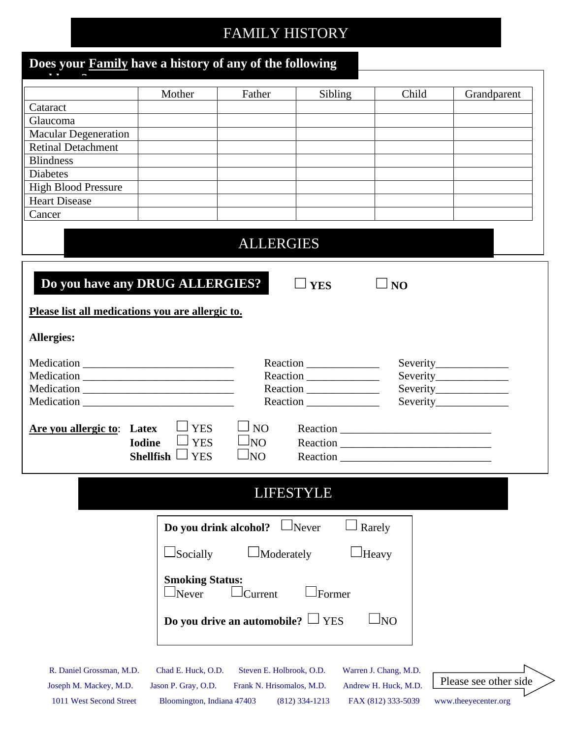# FAMILY HISTORY

| Does your <b>Family</b> have a history of any of the following |                                           |                                                       |                  |                                               |                        |
|----------------------------------------------------------------|-------------------------------------------|-------------------------------------------------------|------------------|-----------------------------------------------|------------------------|
|                                                                | Mother                                    | Father                                                | Sibling          | Child                                         | Grandparent            |
| Cataract                                                       |                                           |                                                       |                  |                                               |                        |
| Glaucoma                                                       |                                           |                                                       |                  |                                               |                        |
| <b>Macular Degeneration</b>                                    |                                           |                                                       |                  |                                               |                        |
| <b>Retinal Detachment</b>                                      |                                           |                                                       |                  |                                               |                        |
| <b>Blindness</b>                                               |                                           |                                                       |                  |                                               |                        |
| <b>Diabetes</b>                                                |                                           |                                                       |                  |                                               |                        |
| <b>High Blood Pressure</b>                                     |                                           |                                                       |                  |                                               |                        |
| <b>Heart Disease</b>                                           |                                           |                                                       |                  |                                               |                        |
| Cancer                                                         |                                           |                                                       |                  |                                               |                        |
|                                                                |                                           | <b>ALLERGIES</b>                                      |                  |                                               |                        |
| Do you have any DRUG ALLERGIES?                                |                                           |                                                       | $\Box$ YES       | $\Box$ NO                                     |                        |
| Please list all medications you are allergic to.               |                                           |                                                       |                  |                                               |                        |
| <b>Allergies:</b>                                              |                                           |                                                       |                  |                                               |                        |
|                                                                |                                           |                                                       | Reaction         |                                               |                        |
|                                                                |                                           |                                                       |                  |                                               | Severity______________ |
|                                                                |                                           |                                                       |                  |                                               |                        |
|                                                                |                                           |                                                       | Reaction         |                                               |                        |
|                                                                |                                           |                                                       |                  |                                               |                        |
| <b>Are you allergic to:</b> Latex                              | <b>YES</b>                                | NO.                                                   |                  |                                               |                        |
| <b>Iodine</b>                                                  | <b>YES</b>                                | JNO                                                   |                  |                                               |                        |
|                                                                | <b>Shellfish</b><br><b>YES</b>            | lΝO                                                   | Reaction         |                                               |                        |
|                                                                |                                           |                                                       |                  |                                               |                        |
|                                                                |                                           |                                                       | <b>LIFESTYLE</b> |                                               |                        |
|                                                                | Do you drink alcohol?                     |                                                       | $\Box$ Never     | Rarely                                        |                        |
|                                                                | $\perp$ Socially                          | Moderately                                            |                  | Heavy                                         |                        |
|                                                                | <b>Smoking Status:</b><br>SNever          | Current                                               | Former           |                                               |                        |
|                                                                |                                           |                                                       |                  |                                               |                        |
|                                                                |                                           | Do you drive an automobile? $\Box$ YES                |                  | $\Box$ NO                                     |                        |
|                                                                |                                           |                                                       |                  |                                               |                        |
|                                                                |                                           |                                                       |                  |                                               |                        |
| R. Daniel Grossman, M.D.<br>Joseph M. Mackey, M.D.             | Chad E. Huck, O.D.<br>Jason P. Gray, O.D. | Steven E. Holbrook, O.D.<br>Frank N. Hrisomalos, M.D. |                  | Warren J. Chang, M.D.<br>Andrew H. Huck, M.D. | Please see other side  |